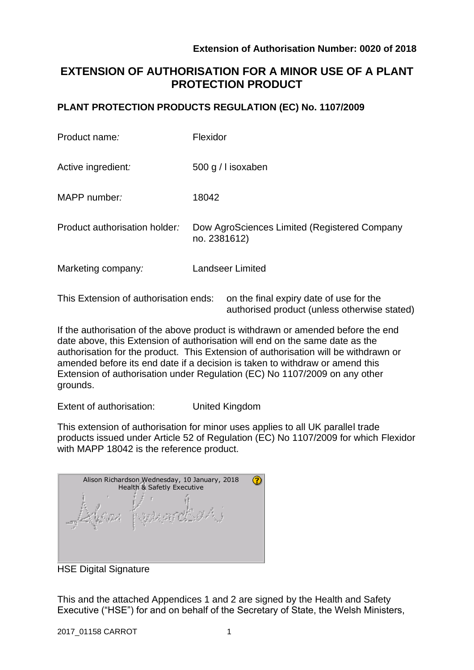authorised product (unless otherwise stated)

# **EXTENSION OF AUTHORISATION FOR A MINOR USE OF A PLANT PROTECTION PRODUCT**

## **PLANT PROTECTION PRODUCTS REGULATION (EC) No. 1107/2009**

| Product name:                         | Flexidor                                                     |  |  |
|---------------------------------------|--------------------------------------------------------------|--|--|
| Active ingredient:                    | 500 g / l isoxaben                                           |  |  |
| MAPP number:                          | 18042                                                        |  |  |
| Product authorisation holder:         | Dow AgroSciences Limited (Registered Company<br>no. 2381612) |  |  |
| Marketing company:                    | <b>Landseer Limited</b>                                      |  |  |
| This Extension of authorisation ends: | on the final expiry date of use for the                      |  |  |

If the authorisation of the above product is withdrawn or amended before the end date above, this Extension of authorisation will end on the same date as the authorisation for the product. This Extension of authorisation will be withdrawn or amended before its end date if a decision is taken to withdraw or amend this Extension of authorisation under Regulation (EC) No 1107/2009 on any other grounds.

Extent of authorisation: United Kingdom

This extension of authorisation for minor uses applies to all UK parallel trade products issued under Article 52 of Regulation (EC) No 1107/2009 for which Flexidor with MAPP 18042 is the reference product.

| Alison Richardson Wednesday, 10 January, 2018<br><b>Health &amp; Safetly Executive</b> |  |
|----------------------------------------------------------------------------------------|--|
|                                                                                        |  |

HSE Digital Signature

This and the attached Appendices 1 and 2 are signed by the Health and Safety Executive ("HSE") for and on behalf of the Secretary of State, the Welsh Ministers,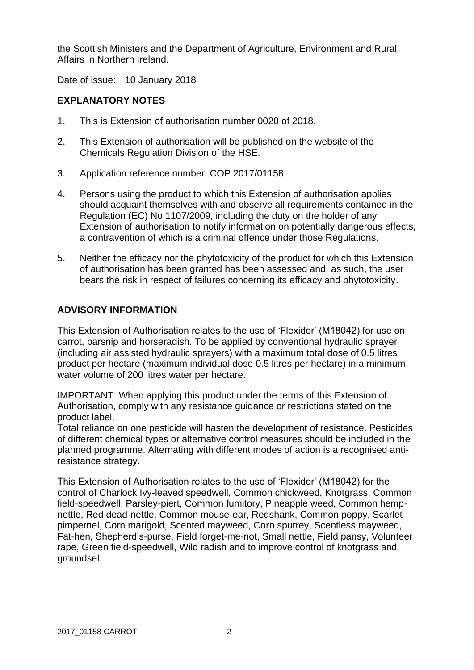the Scottish Ministers and the Department of Agriculture, Environment and Rural Affairs in Northern Ireland.

Date of issue: 10 January 2018

# **EXPLANATORY NOTES**

- 1. This is Extension of authorisation number 0020 of 2018.
- 2. This Extension of authorisation will be published on the website of the Chemicals Regulation Division of the HSE.
- 3. Application reference number: COP 2017/01158
- 4. Persons using the product to which this Extension of authorisation applies should acquaint themselves with and observe all requirements contained in the Regulation (EC) No 1107/2009, including the duty on the holder of any Extension of authorisation to notify information on potentially dangerous effects, a contravention of which is a criminal offence under those Regulations.
- 5. Neither the efficacy nor the phytotoxicity of the product for which this Extension of authorisation has been granted has been assessed and, as such, the user bears the risk in respect of failures concerning its efficacy and phytotoxicity.

## **ADVISORY INFORMATION**

This Extension of Authorisation relates to the use of 'Flexidor' (M18042) for use on carrot, parsnip and horseradish. To be applied by conventional hydraulic sprayer (including air assisted hydraulic sprayers) with a maximum total dose of 0.5 litres product per hectare (maximum individual dose 0.5 litres per hectare) in a minimum water volume of 200 litres water per hectare.

IMPORTANT: When applying this product under the terms of this Extension of Authorisation, comply with any resistance guidance or restrictions stated on the product label.

Total reliance on one pesticide will hasten the development of resistance. Pesticides of different chemical types or alternative control measures should be included in the planned programme. Alternating with different modes of action is a recognised antiresistance strategy.

This Extension of Authorisation relates to the use of 'Flexidor' (M18042) for the control of Charlock Ivy-leaved speedwell, Common chickweed, Knotgrass, Common field-speedwell, Parsley-piert, Common fumitory, Pineapple weed, Common hempnettle, Red dead-nettle, Common mouse-ear, Redshank, Common poppy, Scarlet pimpernel, Corn marigold, Scented mayweed, Corn spurrey, Scentless mayweed, Fat-hen, Shepherd's-purse, Field forget-me-not, Small nettle, Field pansy, Volunteer rape, Green field-speedwell, Wild radish and to improve control of knotgrass and groundsel.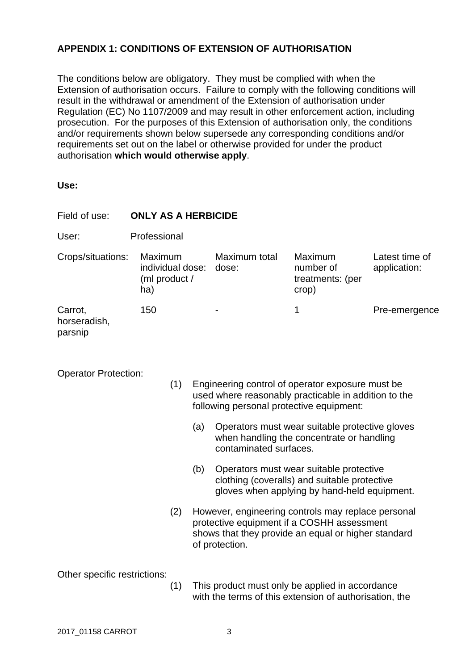# **APPENDIX 1: CONDITIONS OF EXTENSION OF AUTHORISATION**

The conditions below are obligatory. They must be complied with when the Extension of authorisation occurs. Failure to comply with the following conditions will result in the withdrawal or amendment of the Extension of authorisation under Regulation (EC) No 1107/2009 and may result in other enforcement action, including prosecution. For the purposes of this Extension of authorisation only, the conditions and/or requirements shown below supersede any corresponding conditions and/or requirements set out on the label or otherwise provided for under the product authorisation **which would otherwise apply**.

| ×<br>۰.<br>×<br>M.<br>w<br>M.<br>۰.<br>۰.<br>۰. |
|-------------------------------------------------|
|-------------------------------------------------|

| Field of use:                      | <b>ONLY AS A HERBICIDE</b>                          |     |                                                                                                                                                      |                                                                                                                                                                           |                                                                                                                                         |                                |  |  |  |
|------------------------------------|-----------------------------------------------------|-----|------------------------------------------------------------------------------------------------------------------------------------------------------|---------------------------------------------------------------------------------------------------------------------------------------------------------------------------|-----------------------------------------------------------------------------------------------------------------------------------------|--------------------------------|--|--|--|
| User:                              | Professional                                        |     |                                                                                                                                                      |                                                                                                                                                                           |                                                                                                                                         |                                |  |  |  |
| Crops/situations:                  | Maximum<br>individual dose:<br>(ml product /<br>ha) |     |                                                                                                                                                      | Maximum total<br>dose:                                                                                                                                                    | Maximum<br>number of<br>treatments: (per<br>crop)                                                                                       | Latest time of<br>application: |  |  |  |
| Carrot,<br>horseradish,<br>parsnip | 150                                                 |     |                                                                                                                                                      |                                                                                                                                                                           | $\mathbf 1$                                                                                                                             | Pre-emergence                  |  |  |  |
| <b>Operator Protection:</b>        |                                                     | (1) | Engineering control of operator exposure must be<br>used where reasonably practicable in addition to the<br>following personal protective equipment: |                                                                                                                                                                           |                                                                                                                                         |                                |  |  |  |
|                                    |                                                     |     | (a)                                                                                                                                                  | contaminated surfaces.                                                                                                                                                    | Operators must wear suitable protective gloves<br>when handling the concentrate or handling                                             |                                |  |  |  |
|                                    |                                                     |     | (b)                                                                                                                                                  |                                                                                                                                                                           | Operators must wear suitable protective<br>clothing (coveralls) and suitable protective<br>gloves when applying by hand-held equipment. |                                |  |  |  |
|                                    |                                                     | (2) |                                                                                                                                                      | However, engineering controls may replace personal<br>protective equipment if a COSHH assessment<br>shows that they provide an equal or higher standard<br>of protection. |                                                                                                                                         |                                |  |  |  |
| Other specific restrictions:       |                                                     | (1) |                                                                                                                                                      |                                                                                                                                                                           | This product must only be applied in accordance                                                                                         |                                |  |  |  |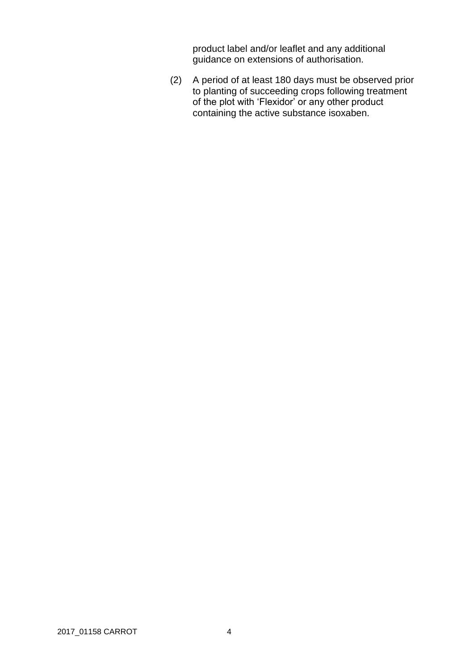product label and/or leaflet and any additional guidance on extensions of authorisation.

(2) A period of at least 180 days must be observed prior to planting of succeeding crops following treatment of the plot with 'Flexidor' or any other product containing the active substance isoxaben.